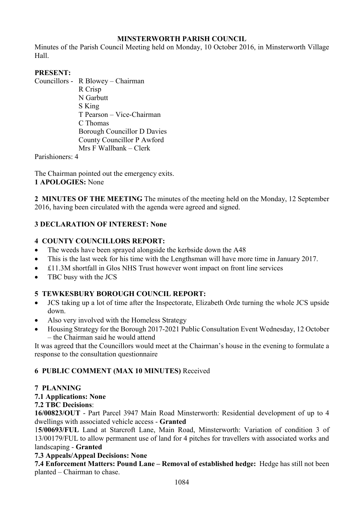## **MINSTERWORTH PARISH COUNCIL**

Minutes of the Parish Council Meeting held on Monday, 10 October 2016, in Minsterworth Village Hall.

## **PRESENT:**

Councillors - R Blowey – Chairman R Crisp N Garbutt S King T Pearson – Vice-Chairman C Thomas Borough Councillor D Davies County Councillor P Awford Mrs F Wallbank – Clerk

Parishioners: 4

The Chairman pointed out the emergency exits. **1 APOLOGIES:** None

**2 MINUTES OF THE MEETING** The minutes of the meeting held on the Monday, 12 September 2016, having been circulated with the agenda were agreed and signed.

# **3 DECLARATION OF INTEREST: None**

# **4 COUNTY COUNCILLORS REPORT:**

- The weeds have been sprayed alongside the kerbside down the A48
- This is the last week for his time with the Lengthsman will have more time in January 2017.
- £11.3M shortfall in Glos NHS Trust however wont impact on front line services
- TBC busy with the JCS

## **5 TEWKESBURY BOROUGH COUNCIL REPORT:**

- JCS taking up a lot of time after the Inspectorate, Elizabeth Orde turning the whole JCS upside down.
- Also very involved with the Homeless Strategy
- Housing Strategy for the Borough 2017-2021 Public Consultation Event Wednesday, 12 October – the Chairman said he would attend

It was agreed that the Councillors would meet at the Chairman's house in the evening to formulate a response to the consultation questionnaire

## **6 PUBLIC COMMENT (MAX 10 MINUTES)** Received

### **7 PLANNING**

**7.1 Applications: None** 

## **7.2 TBC Decisions**:

**16/00823/OUT** - Part Parcel 3947 Main Road Minsterworth: Residential development of up to 4 dwellings with associated vehicle access - **Granted** 

1**5/00693/FUL** Land at Starcroft Lane, Main Road, Minsterworth: Variation of condition 3 of 13/00179/FUL to allow permanent use of land for 4 pitches for travellers with associated works and landscaping - **Granted** 

### **7.3 Appeals/Appeal Decisions: None**

**7.4 Enforcement Matters: Pound Lane – Removal of established hedge:** Hedge has still not been planted – Chairman to chase.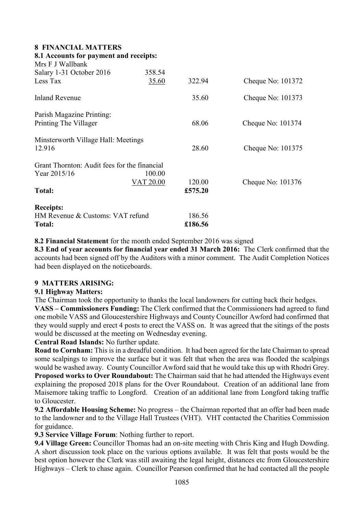### **8 FINANCIAL MATTERS**

| 8.1 Accounts for payment and receipts:<br>Mrs F J Wallbank |           |         |                   |
|------------------------------------------------------------|-----------|---------|-------------------|
| Salary 1-31 October 2016                                   | 358.54    |         |                   |
| Less Tax                                                   | 35.60     | 322.94  | Cheque No: 101372 |
| <b>Inland Revenue</b>                                      |           | 35.60   | Cheque No: 101373 |
| Parish Magazine Printing:                                  |           |         |                   |
| Printing The Villager                                      |           | 68.06   | Cheque No: 101374 |
| Minsterworth Village Hall: Meetings                        |           |         |                   |
| 12.916                                                     |           | 28.60   | Cheque No: 101375 |
| Grant Thornton: Audit fees for the financial               |           |         |                   |
| Year 2015/16                                               | 100.00    |         |                   |
|                                                            | VAT 20.00 | 120.00  | Cheque No: 101376 |
| <b>Total:</b>                                              |           | £575.20 |                   |
| <b>Receipts:</b>                                           |           |         |                   |
| HM Revenue & Customs: VAT refund                           |           | 186.56  |                   |
| <b>Total:</b>                                              |           | £186.56 |                   |

**8.2 Financial Statement** for the month ended September 2016 was signed

**8.3 End of year accounts for financial year ended 31 March 2016:** The Clerk confirmed that the accounts had been signed off by the Auditors with a minor comment. The Audit Completion Notices had been displayed on the noticeboards.

### **9 MATTERS ARISING:**

### **9.1 Highway Matters:**

The Chairman took the opportunity to thanks the local landowners for cutting back their hedges.

**VASS – Commissioners Funding:** The Clerk confirmed that the Commissioners had agreed to fund one mobile VASS and Gloucestershire Highways and County Councillor Awford had confirmed that they would supply and erect 4 posts to erect the VASS on. It was agreed that the sitings of the posts would be discussed at the meeting on Wednesday evening.

### **Central Road Islands:** No further update.

**Road to Cornham:** This is in a dreadful condition. It had been agreed for the late Chairman to spread some scalpings to improve the surface but it was felt that when the area was flooded the scalpings would be washed away. County Councillor Awford said that he would take this up with Rhodri Grey. **Proposed works to Over Roundabout:** The Chairman said that he had attended the Highways event explaining the proposed 2018 plans for the Over Roundabout. Creation of an additional lane from Maisemore taking traffic to Longford. Creation of an additional lane from Longford taking traffic to Gloucester.

**9.2 Affordable Housing Scheme:** No progress – the Chairman reported that an offer had been made to the landowner and to the Village Hall Trustees (VHT). VHT contacted the Charities Commission for guidance.

**9.3 Service Village Forum**: Nothing further to report.

**9.4 Village Green:** Councillor Thomas had an on-site meeting with Chris King and Hugh Dowding. A short discussion took place on the various options available. It was felt that posts would be the best option however the Clerk was still awaiting the legal height, distances etc from Gloucestershire Highways – Clerk to chase again. Councillor Pearson confirmed that he had contacted all the people